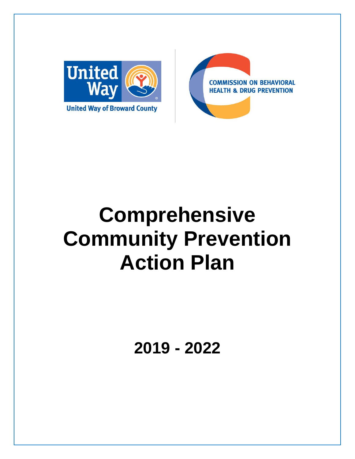



# **Comprehensive Community Prevention Action Plan**

**2019 - 2022**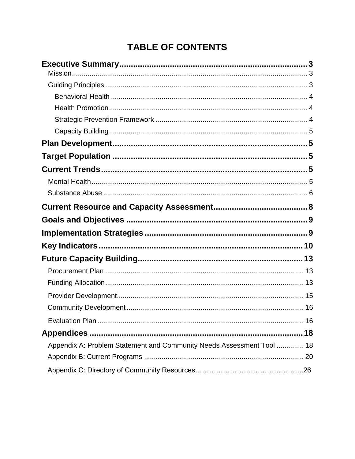## **TABLE OF CONTENTS**

| Appendix A: Problem Statement and Community Needs Assessment Tool  18 |
|-----------------------------------------------------------------------|
|                                                                       |
|                                                                       |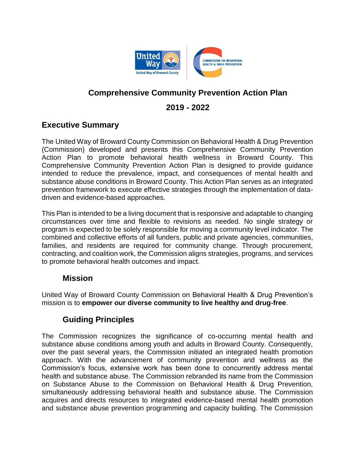

## **Comprehensive Community Prevention Action Plan**

## **2019 - 2022**

## **Executive Summary**

The United Way of Broward County Commission on Behavioral Health & Drug Prevention (Commission) developed and presents this Comprehensive Community Prevention Action Plan to promote behavioral health wellness in Broward County. This Comprehensive Community Prevention Action Plan is designed to provide guidance intended to reduce the prevalence, impact, and consequences of mental health and substance abuse conditions in Broward County. This Action Plan serves as an integrated prevention framework to execute effective strategies through the implementation of datadriven and evidence-based approaches.

This Plan is intended to be a living document that is responsive and adaptable to changing circumstances over time and flexible to revisions as needed. No single strategy or program is expected to be solely responsible for moving a community level indicator. The combined and collective efforts of all funders, public and private agencies, communities, families, and residents are required for community change. Through procurement, contracting, and coalition work, the Commission aligns strategies, programs, and services to promote behavioral health outcomes and impact.

## **Mission**

United Way of Broward County Commission on Behavioral Health & Drug Prevention's mission is to **empower our diverse community to live healthy and drug-free**.

## **Guiding Principles**

The Commission recognizes the significance of co-occurring mental health and substance abuse conditions among youth and adults in Broward County. Consequently, over the past several years, the Commission initiated an integrated health promotion approach. With the advancement of community prevention and wellness as the Commission's focus, extensive work has been done to concurrently address mental health and substance abuse. The Commission rebranded its name from the Commission on Substance Abuse to the Commission on Behavioral Health & Drug Prevention, simultaneously addressing behavioral health and substance abuse. The Commission acquires and directs resources to integrated evidence-based mental health promotion and substance abuse prevention programming and capacity building. The Commission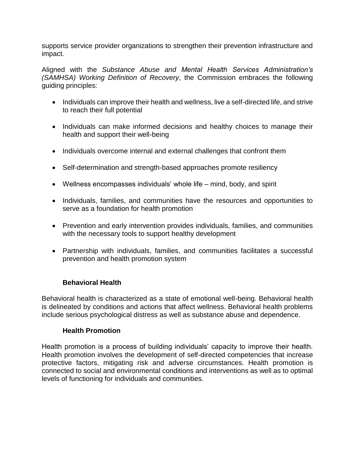supports service provider organizations to strengthen their prevention infrastructure and impact.

Aligned with the *Substance Abuse and Mental Health Services Administration's (SAMHSA) Working Definition of Recovery*, the Commission embraces the following guiding principles:

- Individuals can improve their health and wellness, live a self-directed life, and strive to reach their full potential
- Individuals can make informed decisions and healthy choices to manage their health and support their well-being
- Individuals overcome internal and external challenges that confront them
- Self-determination and strength-based approaches promote resiliency
- Wellness encompasses individuals' whole life mind, body, and spirit
- Individuals, families, and communities have the resources and opportunities to serve as a foundation for health promotion
- Prevention and early intervention provides individuals, families, and communities with the necessary tools to support healthy development
- Partnership with individuals, families, and communities facilitates a successful prevention and health promotion system

#### **Behavioral Health**

Behavioral health is characterized as a state of emotional well-being. Behavioral health is delineated by conditions and actions that affect wellness. Behavioral health problems include serious psychological distress as well as substance abuse and dependence.

#### **Health Promotion**

Health promotion is a process of building individuals' capacity to improve their health. Health promotion involves the development of self-directed competencies that increase protective factors, mitigating risk and adverse circumstances. Health promotion is connected to social and environmental conditions and interventions as well as to optimal levels of functioning for individuals and communities.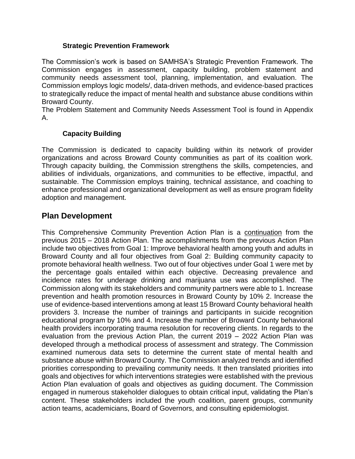#### **Strategic Prevention Framework**

The Commission's work is based on SAMHSA's Strategic Prevention Framework. The Commission engages in assessment, capacity building, problem statement and community needs assessment tool, planning, implementation, and evaluation. The Commission employs logic models/, data-driven methods, and evidence-based practices to strategically reduce the impact of mental health and substance abuse conditions within Broward County.

The Problem Statement and Community Needs Assessment Tool is found in Appendix A.

#### **Capacity Building**

The Commission is dedicated to capacity building within its network of provider organizations and across Broward County communities as part of its coalition work. Through capacity building, the Commission strengthens the skills, competencies, and abilities of individuals, organizations, and communities to be effective, impactful, and sustainable. The Commission employs training, technical assistance, and coaching to enhance professional and organizational development as well as ensure program fidelity adoption and management.

## **Plan Development**

This Comprehensive Community Prevention Action Plan is a continuation from the previous 2015 – 2018 Action Plan. The accomplishments from the previous Action Plan include two objectives from Goal 1: Improve behavioral health among youth and adults in Broward County and all four objectives from Goal 2: Building community capacity to promote behavioral health wellness. Two out of four objectives under Goal 1 were met by the percentage goals entailed within each objective. Decreasing prevalence and incidence rates for underage drinking and marijuana use was accomplished. The Commission along with its stakeholders and community partners were able to 1. Increase prevention and health promotion resources in Broward County by 10% 2. Increase the use of evidence-based interventions among at least 15 Broward County behavioral health providers 3. Increase the number of trainings and participants in suicide recognition educational program by 10% and 4. Increase the number of Broward County behavioral health providers incorporating trauma resolution for recovering clients. In regards to the evaluation from the previous Action Plan, the current 2019 – 2022 Action Plan was developed through a methodical process of assessment and strategy. The Commission examined numerous data sets to determine the current state of mental health and substance abuse within Broward County. The Commission analyzed trends and identified priorities corresponding to prevailing community needs. It then translated priorities into goals and objectives for which interventions strategies were established with the previous Action Plan evaluation of goals and objectives as guiding document. The Commission engaged in numerous stakeholder dialogues to obtain critical input, validating the Plan's content. These stakeholders included the youth coalition, parent groups, community action teams, academicians, Board of Governors, and consulting epidemiologist.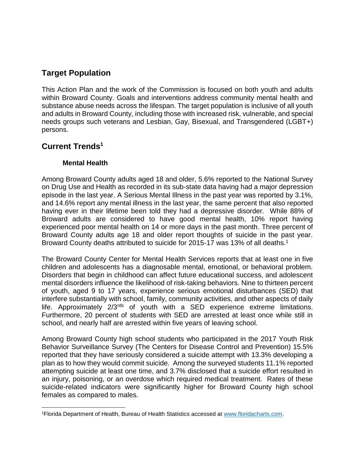## **Target Population**

This Action Plan and the work of the Commission is focused on both youth and adults within Broward County. Goals and interventions address community mental health and substance abuse needs across the lifespan. The target population is inclusive of all youth and adults in Broward County, including those with increased risk, vulnerable, and special needs groups such veterans and Lesbian, Gay, Bisexual, and Transgendered (LGBT+) persons.

## **Current Trends<sup>1</sup>**

#### **Mental Health**

Among Broward County adults aged 18 and older, 5.6% reported to the National Survey on Drug Use and Health as recorded in its sub-state data having had a major depression episode in the last year. A Serious Mental Illness in the past year was reported by 3.1%, and 14.6% report any mental illness in the last year, the same percent that also reported having ever in their lifetime been told they had a depressive disorder. While 88% of Broward adults are considered to have good mental health, 10% report having experienced poor mental health on 14 or more days in the past month. Three percent of Broward County adults age 18 and older report thoughts of suicide in the past year. Broward County deaths attributed to suicide for 2015-17 was 13% of all deaths.<sup>1</sup>

The Broward County Center for Mental Health Services reports that at least one in five children and adolescents has a diagnosable mental, emotional, or behavioral problem. Disorders that begin in childhood can affect future educational success, and adolescent mental disorders influence the likelihood of risk-taking behaviors. Nine to thirteen percent of youth, aged 9 to 17 years, experience serious emotional disturbances (SED) that interfere substantially with school, family, community activities, and other aspects of daily life. Approximately 2/3rds of youth with a SED experience extreme limitations. Furthermore, 20 percent of students with SED are arrested at least once while still in school, and nearly half are arrested within five years of leaving school.

Among Broward County high school students who participated in the 2017 Youth Risk Behavior Surveillance Survey (The Centers for Disease Control and Prevention) 15.5% reported that they have seriously considered a suicide attempt with 13.3% developing a plan as to how they would commit suicide. Among the surveyed students 11.1% reported attempting suicide at least one time, and 3.7% disclosed that a suicide effort resulted in an injury, poisoning, or an overdose which required medical treatment. Rates of these suicide-related indicators were significantly higher for Broward County high school females as compared to males.

 $\overline{\phantom{a}}$ 1Florida Department of Health, Bureau of Health Statistics accessed at [www.floridacharts.com.](http://www.floridacharts.com/)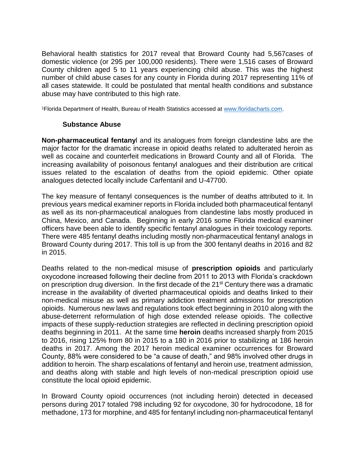Behavioral health statistics for 2017 reveal that Broward County had 5,567cases of domestic violence (or 295 per 100,000 residents). There were 1,516 cases of Broward County children aged 5 to 11 years experiencing child abuse. This was the highest number of child abuse cases for any county in Florida during 2017 representing 11% of all cases statewide. It could be postulated that mental health conditions and substance abuse may have contributed to this high rate.

<sup>1</sup>Florida Department of Health, Bureau of Health Statistics accessed at [www.floridacharts.com.](http://www.floridacharts.com/)

#### **Substance Abuse**

**Non-pharmaceutical fentany**l and its analogues from foreign clandestine labs are the major factor for the dramatic increase in opioid deaths related to adulterated heroin as well as cocaine and counterfeit medications in Broward County and all of Florida. The increasing availability of poisonous fentanyl analogues and their distribution are critical issues related to the escalation of deaths from the opioid epidemic. Other opiate analogues detected locally include Carfentanil and U-47700.

The key measure of fentanyl consequences is the number of deaths attributed to it. In previous years medical examiner reports in Florida included both pharmaceutical fentanyl as well as its non-pharmaceutical analogues from clandestine labs mostly produced in China, Mexico, and Canada. Beginning in early 2016 some Florida medical examiner officers have been able to identify specific fentanyl analogues in their toxicology reports. There were 485 fentanyl deaths including mostly non-pharmaceutical fentanyl analogs in Broward County during 2017. This toll is up from the 300 fentanyl deaths in 2016 and 82 in 2015.

Deaths related to the non-medical misuse of **prescription opioids** and particularly oxycodone increased following their decline from 2011 to 2013 with Florida's crackdown on prescription drug diversion. In the first decade of the 21<sup>st</sup> Century there was a dramatic increase in the availability of diverted pharmaceutical opioids and deaths linked to their non-medical misuse as well as primary addiction treatment admissions for prescription opioids. Numerous new laws and regulations took effect beginning in 2010 along with the abuse-deterrent reformulation of high dose extended release opioids. The collective impacts of these supply-reduction strategies are reflected in declining prescription opioid deaths beginning in 2011. At the same time **heroin** deaths increased sharply from 2015 to 2016, rising 125% from 80 in 2015 to a 180 in 2016 prior to stabilizing at 186 heroin deaths in 2017. Among the 2017 heroin medical examiner occurrences for Broward County, 88% were considered to be "a cause of death," and 98% involved other drugs in addition to heroin. The sharp escalations of fentanyl and heroin use, treatment admission, and deaths along with stable and high levels of non-medical prescription opioid use constitute the local opioid epidemic.

In Broward County opioid occurrences (not including heroin) detected in deceased persons during 2017 totaled 798 including 92 for oxycodone, 30 for hydrocodone, 18 for methadone, 173 for morphine, and 485 for fentanyl including non-pharmaceutical fentanyl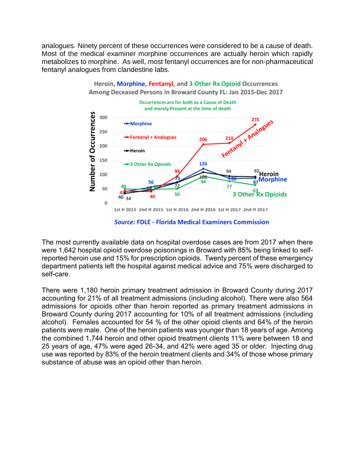analogues. Ninety percent of these occurrences were considered to be a cause of death. Most of the medical examiner morphine occurrences are actually heroin which rapidly metabolizes to morphine. As well, most fentanyl occurrences are for non-pharmaceutical fentanyl analogues from clandestine labs.



Heroin, Morphine, Fentanyl, and 3 Other Rx Opioid Occurrences Among Deceased Persons in Broward County FL: Jan 2015-Dec 2017

**Source: FDLE - Florida Medical Examiners Commission** 

The most currently available data on hospital overdose cases are from 2017 when there were 1,642 hospital opioid overdose poisonings in Broward with 85% being linked to selfreported heroin use and 15% for prescription opioids. Twenty percent of these emergency department patients left the hospital against medical advice and 75% were discharged to self-care.

There were 1,180 heroin primary treatment admission in Broward County during 2017 accounting for 21% of all treatment admissions (including alcohol). There were also 564 admissions for opioids other than heroin reported as primary treatment admissions in Broward County during 2017 accounting for 10% of all treatment admissions (including alcohol). Females accounted for 54 % of the other opioid clients and 64% of the heroin patients were male. One of the heroin patients was younger than 18 years of age. Among the combined 1,744 heroin and other opioid treatment clients 11% were between 18 and 25 years of age, 47% were aged 26-34, and 42% were aged 35 or older. Injecting drug use was reported by 83% of the heroin treatment clients and 34% of those whose primary substance of abuse was an opioid other than heroin.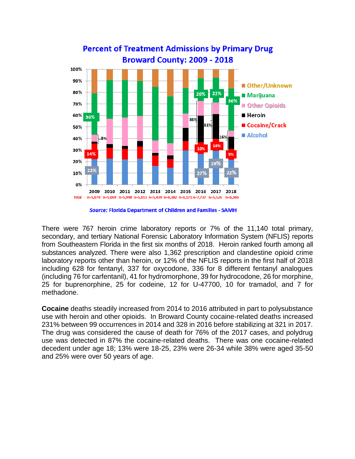

**Percent of Treatment Admissions by Primary Drug** 

**Source: Florida Department of Children and Families - SAMH** 

There were 767 heroin crime laboratory reports or 7% of the 11,140 total primary, secondary, and tertiary National Forensic Laboratory Information System (NFLIS) reports from Southeastern Florida in the first six months of 2018. Heroin ranked fourth among all substances analyzed. There were also 1,362 prescription and clandestine opioid crime laboratory reports other than heroin, or 12% of the NFLIS reports in the first half of 2018 including 628 for fentanyl, 337 for oxycodone, 336 for 8 different fentanyl analogues (including 76 for carfentanil), 41 for hydromorphone, 39 for hydrocodone, 26 for morphine, 25 for buprenorphine, 25 for codeine, 12 for U-47700, 10 for tramadol, and 7 for methadone.

**Cocaine** deaths steadily increased from 2014 to 2016 attributed in part to polysubstance use with heroin and other opioids. In Broward County cocaine-related deaths increased 231% between 99 occurrences in 2014 and 328 in 2016 before stabilizing at 321 in 2017. The drug was considered the cause of death for 76% of the 2017 cases, and polydrug use was detected in 87% the cocaine-related deaths. There was one cocaine-related decedent under age 18; 13% were 18-25, 23% were 26-34 while 38% were aged 35-50 and 25% were over 50 years of age.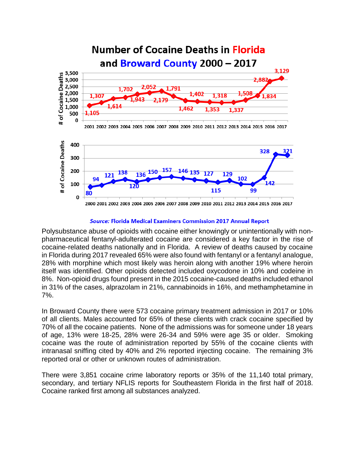

#### Source: Florida Medical Examiners Commission 2017 Annual Report

Polysubstance abuse of opioids with cocaine either knowingly or unintentionally with nonpharmaceutical fentanyl-adulterated cocaine are considered a key factor in the rise of cocaine-related deaths nationally and in Florida. A review of deaths caused by cocaine in Florida during 2017 revealed 65% were also found with fentanyl or a fentanyl analogue, 28% with morphine which most likely was heroin along with another 19% where heroin itself was identified. Other opioids detected included oxycodone in 10% and codeine in 8%. Non-opioid drugs found present in the 2015 cocaine-caused deaths included ethanol in 31% of the cases, alprazolam in 21%, cannabinoids in 16%, and methamphetamine in 7%.

In Broward County there were 573 cocaine primary treatment admission in 2017 or 10% of all clients. Males accounted for 65% of these clients with crack cocaine specified by 70% of all the cocaine patients. None of the admissions was for someone under 18 years of age, 13% were 18-25, 28% were 26-34 and 59% were age 35 or older. Smoking cocaine was the route of administration reported by 55% of the cocaine clients with intranasal sniffing cited by 40% and 2% reported injecting cocaine. The remaining 3% reported oral or other or unknown routes of administration.

There were 3,851 cocaine crime laboratory reports or 35% of the 11,140 total primary, secondary, and tertiary NFLIS reports for Southeastern Florida in the first half of 2018. Cocaine ranked first among all substances analyzed.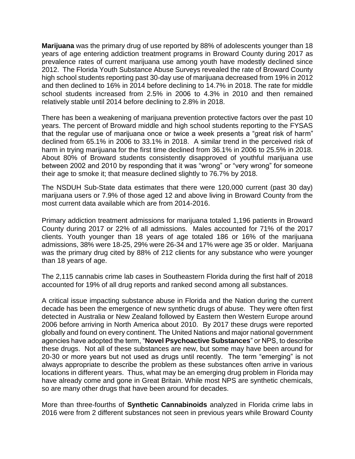**Marijuana** was the primary drug of use reported by 88% of adolescents younger than 18 years of age entering addiction treatment programs in Broward County during 2017 as prevalence rates of current marijuana use among youth have modestly declined since 2012. The Florida Youth Substance Abuse Surveys revealed the rate of Broward County high school students reporting past 30-day use of marijuana decreased from 19% in 2012 and then declined to 16% in 2014 before declining to 14.7% in 2018. The rate for middle school students increased from 2.5% in 2006 to 4.3% in 2010 and then remained relatively stable until 2014 before declining to 2.8% in 2018.

There has been a weakening of marijuana prevention protective factors over the past 10 years. The percent of Broward middle and high school students reporting to the FYSAS that the regular use of marijuana once or twice a week presents a "great risk of harm" declined from 65.1% in 2006 to 33.1% in 2018. A similar trend in the perceived risk of harm in trying marijuana for the first time declined from 36.1% in 2006 to 25.5% in 2018. About 80% of Broward students consistently disapproved of youthful marijuana use between 2002 and 2010 by responding that it was "wrong" or "very wrong" for someone their age to smoke it; that measure declined slightly to 76.7% by 2018.

The NSDUH Sub-State data estimates that there were 120,000 current (past 30 day) marijuana users or 7.9% of those aged 12 and above living in Broward County from the most current data available which are from 2014-2016.

Primary addiction treatment admissions for marijuana totaled 1,196 patients in Broward County during 2017 or 22% of all admissions. Males accounted for 71% of the 2017 clients. Youth younger than 18 years of age totaled 186 or 16% of the marijuana admissions, 38% were 18-25, 29% were 26-34 and 17% were age 35 or older. Marijuana was the primary drug cited by 88% of 212 clients for any substance who were younger than 18 years of age.

The 2,115 cannabis crime lab cases in Southeastern Florida during the first half of 2018 accounted for 19% of all drug reports and ranked second among all substances.

A critical issue impacting substance abuse in Florida and the Nation during the current decade has been the emergence of new synthetic drugs of abuse. They were often first detected in Australia or New Zealand followed by Eastern then Western Europe around 2006 before arriving in North America about 2010. By 2017 these drugs were reported globally and found on every continent. The United Nations and major national government agencies have adopted the term, "**Novel Psychoactive Substances**" or NPS, to describe these drugs. Not all of these substances are new, but some may have been around for 20-30 or more years but not used as drugs until recently. The term "emerging" is not always appropriate to describe the problem as these substances often arrive in various locations in different years. Thus, what may be an emerging drug problem in Florida may have already come and gone in Great Britain. While most NPS are synthetic chemicals, so are many other drugs that have been around for decades.

More than three-fourths of **Synthetic Cannabinoids** analyzed in Florida crime labs in 2016 were from 2 different substances not seen in previous years while Broward County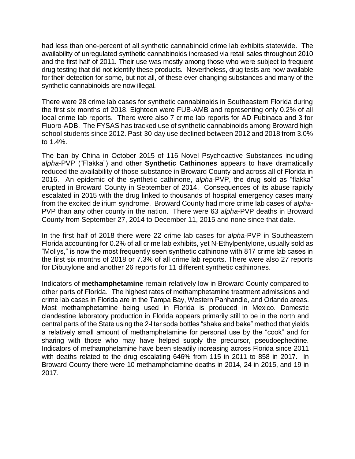had less than one-percent of all synthetic cannabinoid crime lab exhibits statewide. The availability of unregulated synthetic cannabinoids increased via retail sales throughout 2010 and the first half of 2011. Their use was mostly among those who were subject to frequent drug testing that did not identify these products. Nevertheless, drug tests are now available for their detection for some, but not all, of these ever-changing substances and many of the synthetic cannabinoids are now illegal.

There were 28 crime lab cases for synthetic cannabinoids in Southeastern Florida during the first six months of 2018. Eighteen were FUB-AMB and representing only 0.2% of all local crime lab reports. There were also 7 crime lab reports for AD Fubinaca and 3 for Fluoro-ADB. The FYSAS has tracked use of synthetic cannabinoids among Broward high school students since 2012. Past-30-day use declined between 2012 and 2018 from 3.0% to 1.4%.

The ban by China in October 2015 of 116 Novel Psychoactive Substances including *alpha*-PVP ("Flakka") and other **Synthetic Cathinones** appears to have dramatically reduced the availability of those substance in Broward County and across all of Florida in 2016. An epidemic of the synthetic cathinone, *alpha*-PVP, the drug sold as "flakka" erupted in Broward County in September of 2014. Consequences of its abuse rapidly escalated in 2015 with the drug linked to thousands of hospital emergency cases many from the excited delirium syndrome. Broward County had more crime lab cases of *alpha*-PVP than any other county in the nation. There were 63 *alpha-*PVP deaths in Broward County from September 27, 2014 to December 11, 2015 and none since that date.

In the first half of 2018 there were 22 crime lab cases for *alpha*-PVP in Southeastern Florida accounting for 0.2% of all crime lab exhibits, yet N-Ethylpentylone, usually sold as "Mollys," is now the most frequently seen synthetic cathinone with 817 crime lab cases in the first six months of 2018 or 7.3% of all crime lab reports. There were also 27 reports for Dibutylone and another 26 reports for 11 different synthetic cathinones.

Indicators of **methamphetamine** remain relatively low in Broward County compared to other parts of Florida. The highest rates of methamphetamine treatment admissions and crime lab cases in Florida are in the Tampa Bay, Western Panhandle, and Orlando areas. Most methamphetamine being used in Florida is produced in Mexico. Domestic clandestine laboratory production in Florida appears primarily still to be in the north and central parts of the State using the 2-liter soda bottles "shake and bake" method that yields a relatively small amount of methamphetamine for personal use by the "cook" and for sharing with those who may have helped supply the precursor, pseudoephedrine. Indicators of methamphetamine have been steadily increasing across Florida since 2011 with deaths related to the drug escalating 646% from 115 in 2011 to 858 in 2017. In Broward County there were 10 methamphetamine deaths in 2014, 24 in 2015, and 19 in 2017.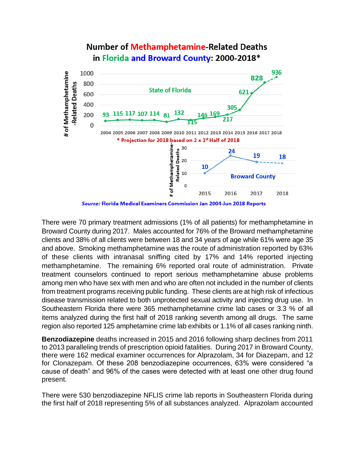

## Number of Methamphetamine-Related Deaths in Florida and Broward County: 2000-2018\*

Source: Florida Medical Examiners Commission Jan 2004-Jun 2018 Reports

There were 70 primary treatment admissions (1% of all patients) for methamphetamine in Broward County during 2017. Males accounted for 76% of the Broward methamphetamine clients and 38% of all clients were between 18 and 34 years of age while 61% were age 35 and above. Smoking methamphetamine was the route of administration reported by 63% of these clients with intranasal sniffing cited by 17% and 14% reported injecting methamphetamine. The remaining 6% reported oral route of administration. Private treatment counselors continued to report serious methamphetamine abuse problems among men who have sex with men and who are often not included in the number of clients from treatment programs receiving public funding. These clients are at high risk of infectious disease transmission related to both unprotected sexual activity and injecting drug use. In Southeastern Florida there were 365 methamphetamine crime lab cases or 3.3 % of all items analyzed during the first half of 2018 ranking seventh among all drugs. The same region also reported 125 amphetamine crime lab exhibits or 1.1% of all cases ranking ninth.

**Benzodiazepine** deaths increased in 2015 and 2016 following sharp declines from 2011 to 2013 paralleling trends of prescription opioid fatalities. During 2017 in Broward County, there were 162 medical examiner occurrences for Alprazolam, 34 for Diazepam, and 12 for Clonazepam. Of these 208 benzodiazepine occurrences, 63% were considered "a cause of death" and 96% of the cases were detected with at least one other drug found present.

There were 530 benzodiazepine NFLIS crime lab reports in Southeastern Florida during the first half of 2018 representing 5% of all substances analyzed. Alprazolam accounted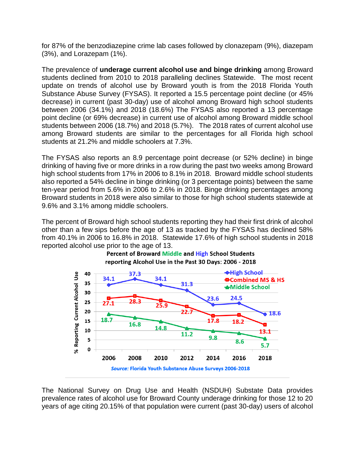for 87% of the benzodiazepine crime lab cases followed by clonazepam (9%), diazepam (3%), and Lorazepam (1%).

The prevalence of **underage current alcohol use and binge drinking** among Broward students declined from 2010 to 2018 paralleling declines Statewide. The most recent update on trends of alcohol use by Broward youth is from the 2018 Florida Youth Substance Abuse Survey (FYSAS). It reported a 15.5 percentage point decline (or 45% decrease) in current (past 30-day) use of alcohol among Broward high school students between 2006 (34.1%) and 2018 (18.6%) The FYSAS also reported a 13 percentage point decline (or 69% decrease) in current use of alcohol among Broward middle school students between 2006 (18.7%) and 2018 (5.7%). The 2018 rates of current alcohol use among Broward students are similar to the percentages for all Florida high school students at 21.2% and middle schoolers at 7.3%.

The FYSAS also reports an 8.9 percentage point decrease (or 52% decline) in binge drinking of having five or more drinks in a row during the past two weeks among Broward high school students from 17% in 2006 to 8.1% in 2018. Broward middle school students also reported a 54% decline in binge drinking (or 3 percentage points) between the same ten-year period from 5.6% in 2006 to 2.6% in 2018. Binge drinking percentages among Broward students in 2018 were also similar to those for high school students statewide at 9.6% and 3.1% among middle schoolers.

The percent of Broward high school students reporting they had their first drink of alcohol other than a few sips before the age of 13 as tracked by the FYSAS has declined 58% from 40.1% in 2006 to 16.8% in 2018. Statewide 17.6% of high school students in 2018 reported alcohol use prior to the age of 13.





The National Survey on Drug Use and Health (NSDUH) Substate Data provides prevalence rates of alcohol use for Broward County underage drinking for those 12 to 20 years of age citing 20.15% of that population were current (past 30-day) users of alcohol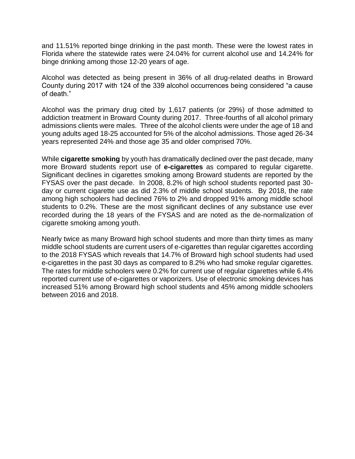and 11.51% reported binge drinking in the past month. These were the lowest rates in Florida where the statewide rates were 24.04% for current alcohol use and 14.24% for binge drinking among those 12-20 years of age.

Alcohol was detected as being present in 36% of all drug-related deaths in Broward County during 2017 with 124 of the 339 alcohol occurrences being considered "a cause of death."

Alcohol was the primary drug cited by 1,617 patients (or 29%) of those admitted to addiction treatment in Broward County during 2017. Three-fourths of all alcohol primary admissions clients were males. Three of the alcohol clients were under the age of 18 and young adults aged 18-25 accounted for 5% of the alcohol admissions. Those aged 26-34 years represented 24% and those age 35 and older comprised 70%.

While **cigarette smoking** by youth has dramatically declined over the past decade, many more Broward students report use of **e-cigarettes** as compared to regular cigarette. Significant declines in cigarettes smoking among Broward students are reported by the FYSAS over the past decade. In 2008, 8.2% of high school students reported past 30 day or current cigarette use as did 2.3% of middle school students. By 2018, the rate among high schoolers had declined 76% to 2% and dropped 91% among middle school students to 0.2%. These are the most significant declines of any substance use ever recorded during the 18 years of the FYSAS and are noted as the de-normalization of cigarette smoking among youth.

Nearly twice as many Broward high school students and more than thirty times as many middle school students are current users of e-cigarettes than regular cigarettes according to the 2018 FYSAS which reveals that 14.7% of Broward high school students had used e-cigarettes in the past 30 days as compared to 8.2% who had smoke regular cigarettes. The rates for middle schoolers were 0.2% for current use of regular cigarettes while 6.4% reported current use of e-cigarettes or vaporizers. Use of electronic smoking devices has increased 51% among Broward high school students and 45% among middle schoolers between 2016 and 2018.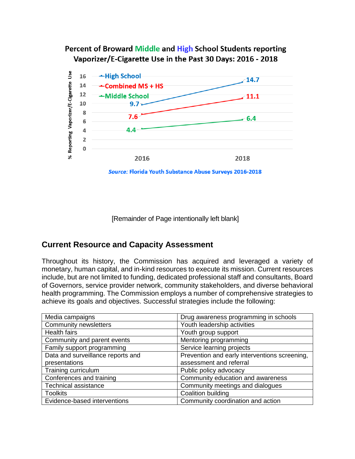## Percent of Broward Middle and High School Students reporting Vaporizer/E-Cigarette Use in the Past 30 Days: 2016 - 2018



[Remainder of Page intentionally left blank]

## **Current Resource and Capacity Assessment**

Throughout its history, the Commission has acquired and leveraged a variety of monetary, human capital, and in-kind resources to execute its mission. Current resources include, but are not limited to funding, dedicated professional staff and consultants, Board of Governors, service provider network, community stakeholders, and diverse behavioral health programming. The Commission employs a number of comprehensive strategies to achieve its goals and objectives. Successful strategies include the following:

| Media campaigns                   | Drug awareness programming in schools         |
|-----------------------------------|-----------------------------------------------|
| <b>Community newsletters</b>      | Youth leadership activities                   |
| <b>Health fairs</b>               | Youth group support                           |
| Community and parent events       | Mentoring programming                         |
| Family support programming        | Service learning projects                     |
| Data and surveillance reports and | Prevention and early interventions screening, |
| presentations                     | assessment and referral                       |
| Training curriculum               | Public policy advocacy                        |
| Conferences and training          | Community education and awareness             |
| <b>Technical assistance</b>       | Community meetings and dialogues              |
| <b>Toolkits</b>                   | Coalition building                            |
| Evidence-based interventions      | Community coordination and action             |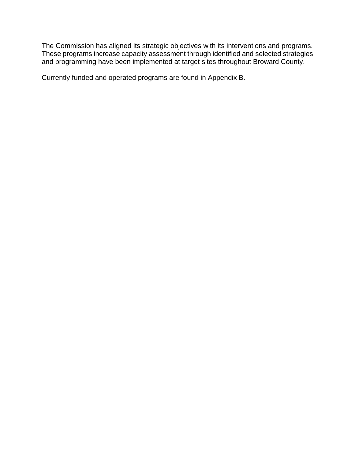The Commission has aligned its strategic objectives with its interventions and programs. These programs increase capacity assessment through identified and selected strategies and programming have been implemented at target sites throughout Broward County.

Currently funded and operated programs are found in Appendix B.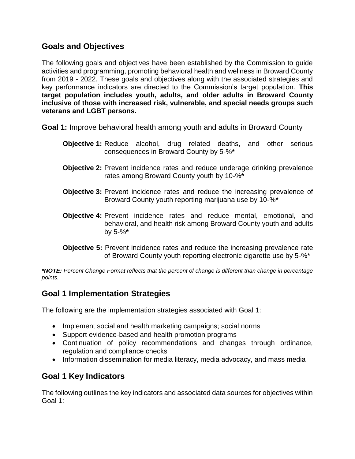## **Goals and Objectives**

The following goals and objectives have been established by the Commission to guide activities and programming, promoting behavioral health and wellness in Broward County from 2019 - 2022. These goals and objectives along with the associated strategies and key performance indicators are directed to the Commission's target population. **This target population includes youth, adults, and older adults in Broward County inclusive of those with increased risk, vulnerable, and special needs groups such veterans and LGBT persons.** 

**Goal 1:** Improve behavioral health among youth and adults in Broward County

- **Objective 1:** Reduce alcohol, drug related deaths, and other serious consequences in Broward County by 5-%**\***
- **Objective 2:** Prevent incidence rates and reduce underage drinking prevalence rates among Broward County youth by 10-%**\***
- **Objective 3:** Prevent incidence rates and reduce the increasing prevalence of Broward County youth reporting marijuana use by 10-%**\***
- **Objective 4:** Prevent incidence rates and reduce mental, emotional, and behavioral, and health risk among Broward County youth and adults by 5-%**\***
- **Objective 5:** Prevent incidence rates and reduce the increasing prevalence rate of Broward County youth reporting electronic cigarette use by 5-%\*

*\*NOTE: Percent Change Format reflects that the percent of change is different than change in percentage points.* 

## **Goal 1 Implementation Strategies**

The following are the implementation strategies associated with Goal 1:

- Implement social and health marketing campaigns; social norms
- Support evidence-based and health promotion programs
- Continuation of policy recommendations and changes through ordinance, regulation and compliance checks
- Information dissemination for media literacy, media advocacy, and mass media

## **Goal 1 Key Indicators**

The following outlines the key indicators and associated data sources for objectives within Goal 1: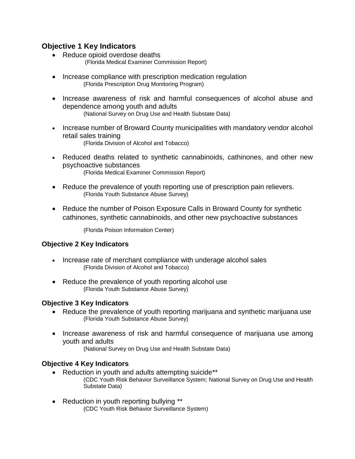#### **Objective 1 Key Indicators**

- Reduce opioid overdose deaths (Florida Medical Examiner Commission Report)
- Increase compliance with prescription medication regulation (Florida Prescription Drug Monitoring Program)
- Increase awareness of risk and harmful consequences of alcohol abuse and dependence among youth and adults (National Survey on Drug Use and Health Substate Data)
- Increase number of Broward County municipalities with mandatory vendor alcohol retail sales training (Florida Division of Alcohol and Tobacco)
- Reduced deaths related to synthetic cannabinoids, cathinones, and other new psychoactive substances (Florida Medical Examiner Commission Report)
- Reduce the prevalence of youth reporting use of prescription pain relievers. (Florida Youth Substance Abuse Survey)
- Reduce the number of Poison Exposure Calls in Broward County for synthetic cathinones, synthetic cannabinoids, and other new psychoactive substances

(Florida Poison Information Center)

#### **Objective 2 Key Indicators**

- Increase rate of merchant compliance with underage alcohol sales (Florida Division of Alcohol and Tobacco)
- Reduce the prevalence of youth reporting alcohol use (Florida Youth Substance Abuse Survey)

#### **Objective 3 Key Indicators**

- Reduce the prevalence of youth reporting marijuana and synthetic marijuana use (Florida Youth Substance Abuse Survey)
- Increase awareness of risk and harmful consequence of marijuana use among youth and adults

(National Survey on Drug Use and Health Substate Data)

#### **Objective 4 Key Indicators**

- Reduction in youth and adults attempting suicide\*\* (CDC Youth Risk Behavior Surveillance System; National Survey on Drug Use and Health Substate Data)
- Reduction in youth reporting bullying \*\* (CDC Youth Risk Behavior Surveillance System)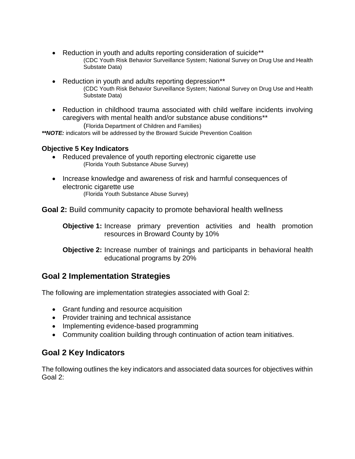- Reduction in youth and adults reporting consideration of suicide\*\* (CDC Youth Risk Behavior Surveillance System; National Survey on Drug Use and Health Substate Data)
- Reduction in youth and adults reporting depression\*\* (CDC Youth Risk Behavior Surveillance System; National Survey on Drug Use and Health Substate Data)
- Reduction in childhood trauma associated with child welfare incidents involving caregivers with mental health and/or substance abuse conditions\*\* (Florida Department of Children and Families)

*\*\*NOTE:* indicators will be addressed by the Broward Suicide Prevention Coalition

#### **Objective 5 Key Indicators**

- Reduced prevalence of youth reporting electronic cigarette use (Florida Youth Substance Abuse Survey)
- Increase knowledge and awareness of risk and harmful consequences of electronic cigarette use (Florida Youth Substance Abuse Survey)

**Goal 2:** Build community capacity to promote behavioral health wellness

**Objective 1:** Increase primary prevention activities and health promotion resources in Broward County by 10%

**Objective 2:** Increase number of trainings and participants in behavioral health educational programs by 20%

## **Goal 2 Implementation Strategies**

The following are implementation strategies associated with Goal 2:

- Grant funding and resource acquisition
- Provider training and technical assistance
- Implementing evidence-based programming
- Community coalition building through continuation of action team initiatives.

## **Goal 2 Key Indicators**

The following outlines the key indicators and associated data sources for objectives within Goal 2: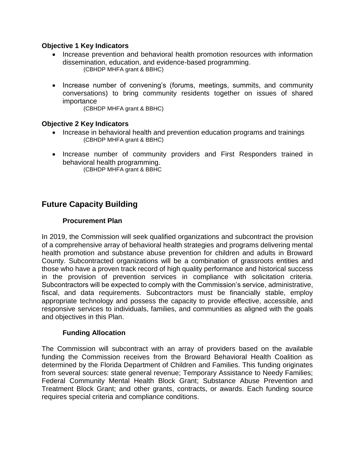#### **Objective 1 Key Indicators**

- Increase prevention and behavioral health promotion resources with information dissemination, education, and evidence-based programming. (CBHDP MHFA grant & BBHC)
- Increase number of convening's (forums, meetings, summits, and community conversations) to bring community residents together on issues of shared importance

(CBHDP MHFA grant & BBHC)

#### **Objective 2 Key Indicators**

- Increase in behavioral health and prevention education programs and trainings (CBHDP MHFA grant & BBHC)
- Increase number of community providers and First Responders trained in behavioral health programming. (CBHDP MHFA grant & BBHC

## **Future Capacity Building**

#### **Procurement Plan**

In 2019, the Commission will seek qualified organizations and subcontract the provision of a comprehensive array of behavioral health strategies and programs delivering mental health promotion and substance abuse prevention for children and adults in Broward County. Subcontracted organizations will be a combination of grassroots entities and those who have a proven track record of high quality performance and historical success in the provision of prevention services in compliance with solicitation criteria. Subcontractors will be expected to comply with the Commission's service, administrative, fiscal, and data requirements. Subcontractors must be financially stable, employ appropriate technology and possess the capacity to provide effective, accessible, and responsive services to individuals, families, and communities as aligned with the goals and objectives in this Plan.

#### **Funding Allocation**

The Commission will subcontract with an array of providers based on the available funding the Commission receives from the Broward Behavioral Health Coalition as determined by the Florida Department of Children and Families. This funding originates from several sources: state general revenue; Temporary Assistance to Needy Families; Federal Community Mental Health Block Grant; Substance Abuse Prevention and Treatment Block Grant; and other grants, contracts, or awards. Each funding source requires special criteria and compliance conditions.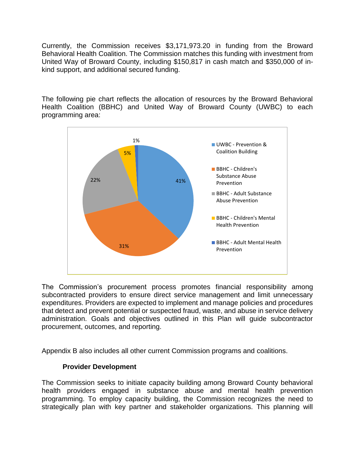Currently, the Commission receives \$3,171,973.20 in funding from the Broward Behavioral Health Coalition. The Commission matches this funding with investment from United Way of Broward County, including \$150,817 in cash match and \$350,000 of inkind support, and additional secured funding.

The following pie chart reflects the allocation of resources by the Broward Behavioral Health Coalition (BBHC) and United Way of Broward County (UWBC) to each programming area:



The Commission's procurement process promotes financial responsibility among subcontracted providers to ensure direct service management and limit unnecessary expenditures. Providers are expected to implement and manage policies and procedures that detect and prevent potential or suspected fraud, waste, and abuse in service delivery administration. Goals and objectives outlined in this Plan will guide subcontractor procurement, outcomes, and reporting.

Appendix B also includes all other current Commission programs and coalitions.

#### **Provider Development**

The Commission seeks to initiate capacity building among Broward County behavioral health providers engaged in substance abuse and mental health prevention programming. To employ capacity building, the Commission recognizes the need to strategically plan with key partner and stakeholder organizations. This planning will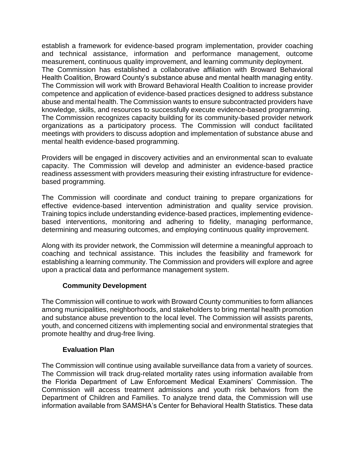establish a framework for evidence-based program implementation, provider coaching and technical assistance, information and performance management, outcome measurement, continuous quality improvement, and learning community deployment. The Commission has established a collaborative affiliation with Broward Behavioral Health Coalition, Broward County's substance abuse and mental health managing entity. The Commission will work with Broward Behavioral Health Coalition to increase provider competence and application of evidence-based practices designed to address substance abuse and mental health. The Commission wants to ensure subcontracted providers have knowledge, skills, and resources to successfully execute evidence-based programming. The Commission recognizes capacity building for its community-based provider network organizations as a participatory process. The Commission will conduct facilitated meetings with providers to discuss adoption and implementation of substance abuse and mental health evidence-based programming.

Providers will be engaged in discovery activities and an environmental scan to evaluate capacity. The Commission will develop and administer an evidence-based practice readiness assessment with providers measuring their existing infrastructure for evidencebased programming.

The Commission will coordinate and conduct training to prepare organizations for effective evidence-based intervention administration and quality service provision. Training topics include understanding evidence-based practices, implementing evidencebased interventions, monitoring and adhering to fidelity, managing performance, determining and measuring outcomes, and employing continuous quality improvement.

Along with its provider network, the Commission will determine a meaningful approach to coaching and technical assistance. This includes the feasibility and framework for establishing a learning community. The Commission and providers will explore and agree upon a practical data and performance management system.

#### **Community Development**

The Commission will continue to work with Broward County communities to form alliances among municipalities, neighborhoods, and stakeholders to bring mental health promotion and substance abuse prevention to the local level. The Commission will assists parents, youth, and concerned citizens with implementing social and environmental strategies that promote healthy and drug-free living.

#### **Evaluation Plan**

The Commission will continue using available surveillance data from a variety of sources. The Commission will track drug-related mortality rates using information available from the Florida Department of Law Enforcement Medical Examiners' Commission. The Commission will access treatment admissions and youth risk behaviors from the Department of Children and Families. To analyze trend data, the Commission will use information available from SAMSHA's Center for Behavioral Health Statistics. These data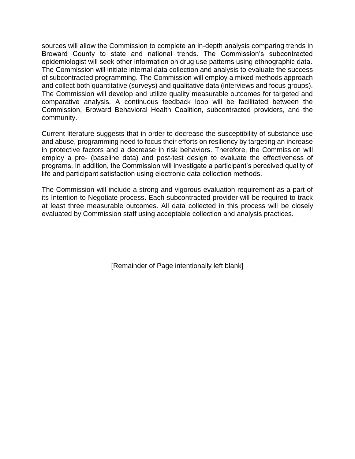sources will allow the Commission to complete an in-depth analysis comparing trends in Broward County to state and national trends. The Commission's subcontracted epidemiologist will seek other information on drug use patterns using ethnographic data. The Commission will initiate internal data collection and analysis to evaluate the success of subcontracted programming. The Commission will employ a mixed methods approach and collect both quantitative (surveys) and qualitative data (interviews and focus groups). The Commission will develop and utilize quality measurable outcomes for targeted and comparative analysis. A continuous feedback loop will be facilitated between the Commission, Broward Behavioral Health Coalition, subcontracted providers, and the community.

Current literature suggests that in order to decrease the susceptibility of substance use and abuse, programming need to focus their efforts on resiliency by targeting an increase in protective factors and a decrease in risk behaviors. Therefore, the Commission will employ a pre- (baseline data) and post-test design to evaluate the effectiveness of programs. In addition, the Commission will investigate a participant's perceived quality of life and participant satisfaction using electronic data collection methods.

The Commission will include a strong and vigorous evaluation requirement as a part of its Intention to Negotiate process. Each subcontracted provider will be required to track at least three measurable outcomes. All data collected in this process will be closely evaluated by Commission staff using acceptable collection and analysis practices.

[Remainder of Page intentionally left blank]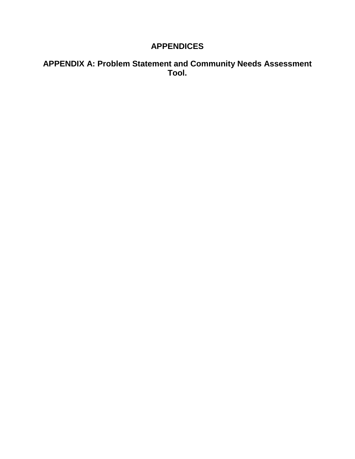## **APPENDICES**

## **APPENDIX A: Problem Statement and Community Needs Assessment Tool.**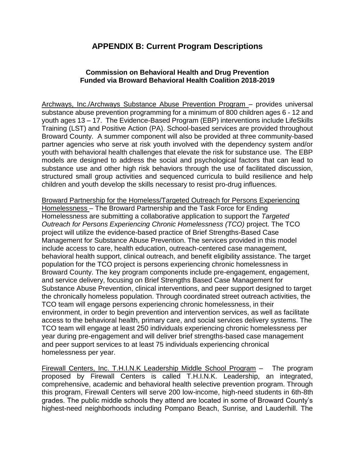## **APPENDIX B: Current Program Descriptions**

#### **Commission on Behavioral Health and Drug Prevention Funded via Broward Behavioral Health Coalition 2018-2019**

Archways, Inc./Archways Substance Abuse Prevention Program – provides universal substance abuse prevention programming for a minimum of 800 children ages 6 - 12 and youth ages 13 – 17. The Evidence-Based Program (EBP) interventions include LifeSkills Training (LST) and Positive Action (PA). School-based services are provided throughout Broward County. A summer component will also be provided at three community-based partner agencies who serve at risk youth involved with the dependency system and/or youth with behavioral health challenges that elevate the risk for substance use. The EBP models are designed to address the social and psychological factors that can lead to substance use and other high risk behaviors through the use of facilitated discussion, structured small group activities and sequenced curricula to build resilience and help children and youth develop the skills necessary to resist pro-drug influences.

Broward Partnership for the Homeless/Targeted Outreach for Persons Experiencing Homelessness – The Broward Partnership and the Task Force for Ending Homelessness are submitting a collaborative application to support the *Targeted Outreach for Persons Experiencing Chronic Homelessness (TCO)* project. The TCO project will utilize the evidence-based practice of Brief Strengths-Based Case Management for Substance Abuse Prevention. The services provided in this model include access to care, health education, outreach-centered case management, behavioral health support, clinical outreach, and benefit eligibility assistance. The target population for the TCO project is persons experiencing chronic homelessness in Broward County. The key program components include pre-engagement, engagement, and service delivery, focusing on Brief Strengths Based Case Management for Substance Abuse Prevention, clinical interventions, and peer support designed to target the chronically homeless population. Through coordinated street outreach activities, the TCO team will engage persons experiencing chronic homelessness, in their environment, in order to begin prevention and intervention services, as well as facilitate access to the behavioral health, primary care, and social services delivery systems. The TCO team will engage at least 250 individuals experiencing chronic homelessness per year during pre-engagement and will deliver brief strengths-based case management and peer support services to at least 75 individuals experiencing chronical homelessness per year.

Firewall Centers, Inc. T.H.I.N.K Leadership Middle School Program – The program proposed by Firewall Centers is called T.H.I.N.K. Leadership, an integrated, comprehensive, academic and behavioral health selective prevention program. Through this program, Firewall Centers will serve 200 low-income, high-need students in 6th-8th grades. The public middle schools they attend are located in some of Broward County's highest-need neighborhoods including Pompano Beach, Sunrise, and Lauderhill. The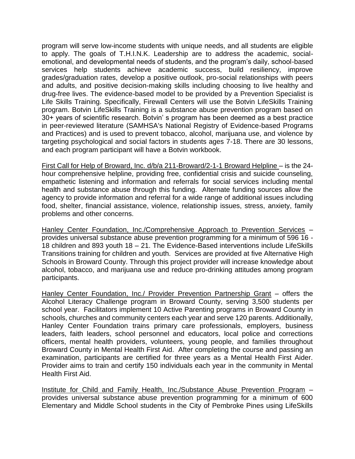program will serve low-income students with unique needs, and all students are eligible to apply. The goals of T.H.I.N.K. Leadership are to address the academic, socialemotional, and developmental needs of students, and the program's daily, school-based services help students achieve academic success, build resiliency, improve grades/graduation rates, develop a positive outlook, pro-social relationships with peers and adults, and positive decision-making skills including choosing to live healthy and drug-free lives. The evidence-based model to be provided by a Prevention Specialist is Life Skills Training. Specifically, Firewall Centers will use the Botvin LifeSkills Training program. Botvin LifeSkills Training is a substance abuse prevention program based on 30+ years of scientific research. Botvin' s program has been deemed as a best practice in peer-reviewed literature (SAMHSA's National Registry of Evidence-based Programs and Practices) and is used to prevent tobacco, alcohol, marijuana use, and violence by targeting psychological and social factors in students ages 7-18. There are 30 lessons, and each program participant will have a Botvin workbook.

First Call for Help of Broward, Inc. d/b/a 211-Broward/2-1-1 Broward Helpline – is the 24 hour comprehensive helpline, providing free, confidential crisis and suicide counseling, empathetic listening and information and referrals for social services including mental health and substance abuse through this funding. Alternate funding sources allow the agency to provide information and referral for a wide range of additional issues including food, shelter, financial assistance, violence, relationship issues, stress, anxiety, family problems and other concerns.

Hanley Center Foundation, Inc./Comprehensive Approach to Prevention Services – provides universal substance abuse prevention programming for a minimum of 596 16 - 18 children and 893 youth 18 – 21. The Evidence-Based interventions include LifeSkills Transitions training for children and youth. Services are provided at five Alternative High Schools in Broward County. Through this project provider will increase knowledge about alcohol, tobacco, and marijuana use and reduce pro-drinking attitudes among program participants.

Hanley Center Foundation, Inc./ Provider Prevention Partnership Grant – offers the Alcohol Literacy Challenge program in Broward County, serving 3,500 students per school year. Facilitators implement 10 Active Parenting programs in Broward County in schools, churches and community centers each year and serve 120 parents. Additionally, Hanley Center Foundation trains primary care professionals, employers, business leaders, faith leaders, school personnel and educators, local police and corrections officers, mental health providers, volunteers, young people, and families throughout Broward County in Mental Health First Aid. After completing the course and passing an examination, participants are certified for three years as a Mental Health First Aider. Provider aims to train and certify 150 individuals each year in the community in Mental Health First Aid.

Institute for Child and Family Health, Inc./Substance Abuse Prevention Program – provides universal substance abuse prevention programming for a minimum of 600 Elementary and Middle School students in the City of Pembroke Pines using LifeSkills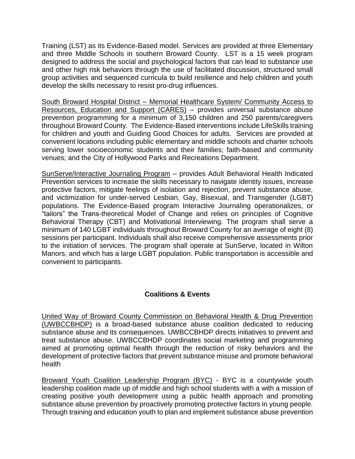Training (LST) as its Evidence-Based model. Services are provided at three Elementary and three Middle Schools in southern Broward County. LST is a 15 week program designed to address the social and psychological factors that can lead to substance use and other high risk behaviors through the use of facilitated discussion, structured small group activities and sequenced curricula to build resilience and help children and youth develop the skills necessary to resist pro-drug influences.

South Broward Hospital District – Memorial Healthcare System/ Community Access to Resources, Education and Support (CARES) – provides universal substance abuse prevention programming for a minimum of 3,150 children and 250 parents/caregivers throughout Broward County. The Evidence-Based interventions include LifeSkills training for children and youth and Guiding Good Choices for adults. Services are provided at convenient locations including public elementary and middle schools and charter schools serving lower socioeconomic students and their families; faith-based and community venues; and the City of Hollywood Parks and Recreations Department.

SunServe/Interactive Journaling Program – provides Adult Behavioral Health Indicated Prevention services to increase the skills necessary to navigate identity issues, increase protective factors, mitigate feelings of isolation and rejection, prevent substance abuse, and victimization for under-served Lesbian, Gay, Bisexual, and Transgender (LGBT) populations. The Evidence-Based program Interactive Journaling operationalizes, or "tailors" the Trans-theoretical Model of Change and relies on principles of Cognitive Behavioral Therapy (CBT) and Motivational Interviewing. The program shall serve a minimum of 140 LGBT individuals throughout Broward County for an average of eight (8) sessions per participant. Individuals shall also receive comprehensive assessments prior to the initiation of services. The program shall operate at SunServe, located in Wilton Manors, and which has a large LGBT population. Public transportation is accessible and convenient to participants.

#### **Coalitions & Events**

United Way of Broward County Commission on Behavioral Health & Drug Prevention (UWBCCBHDP) is [a broad-based substance abuse coalition dedicated to reducing](http://www.drugfreebroward.org/About-Us)  [substance abuse and its consequences.](http://www.drugfreebroward.org/About-Us) UWBCCBHDP directs initiatives to prevent and treat substance abuse. UWBCCBHDP coordinates social marketing and programming aimed at promoting optimal health through the reduction of risky behaviors and the development of protective factors that prevent substance misuse and promote behavioral health

Broward Youth Coalition Leadership Program (BYC) - BYC is a countywide youth leadership coalition made up of middle and high school students with a with a mission of creating positive youth development using a public health approach and promoting substance abuse prevention by proactively promoting protective factors in young people. Through training and education youth to plan and implement substance abuse prevention